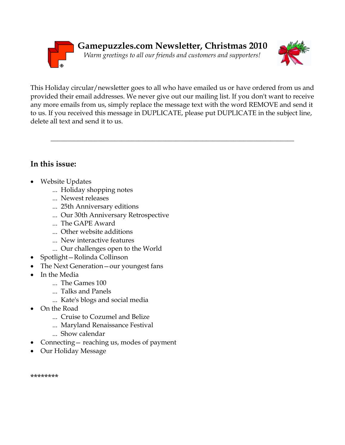



This Holiday circular/newsletter goes to all who have emailed us or have ordered from us and provided their email addresses. We never give out our mailing list. If you don't want to receive any more emails from us, simply replace the message text with the word REMOVE and send it to us. If you received this message in DUPLICATE, please put DUPLICATE in the subject line, delete all text and send it to us.

 $\_$  , and the set of the set of the set of the set of the set of the set of the set of the set of the set of the set of the set of the set of the set of the set of the set of the set of the set of the set of the set of th

# **In this issue:**

- Website Updates
	- ... Holiday shopping notes
	- ... Newest releases
	- ... 25th Anniversary editions
	- ... Our 30th Anniversary Retrospective
	- ... The GAPE Award
	- ... Other website additions
	- ... New interactive features
	- ... Our challenges open to the World
- Spotlight—Rolinda Collinson
- The Next Generation—our youngest fans
- In the Media
	- ... The Games 100
	- ... Talks and Panels
	- ... Kate's blogs and social media
- On the Road
	- ... Cruise to Cozumel and Belize
	- ... Maryland Renaissance Festival
	- ... Show calendar
- Connecting— reaching us, modes of payment
- Our Holiday Message

\*\*\*\*\*\*\*\*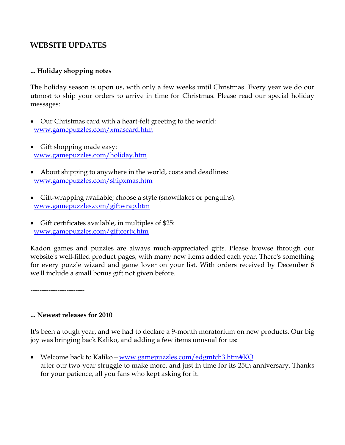## **WEBSITE UPDATES**

#### **... Holiday shopping notes**

The holiday season is upon us, with only a few weeks until Christmas. Every year we do our utmost to ship your orders to arrive in time for Christmas. Please read our special holiday messages:

- Our Christmas card with a heart-felt greeting to the world: [www.gamepuzzles.com/xmascard.htm](http://www.gamepuzzles.com/xmascard.htm)
- Gift shopping made easy: [www.gamepuzzles.com/holiday.htm](http://www.gamepuzzles.com/holiday.htm)
- About shipping to anywhere in the world, costs and deadlines: [www.gamepuzzles.com/shipxmas.htm](http://www.gamepuzzles.com/shipxmas.htm)
- Gift-wrapping available; choose a style (snowflakes or penguins): [www.gamepuzzles.com/giftwrap.htm](http://www.gamepuzzles.com/giftwrap.htm)
- Gift certificates available, in multiples of \$25: [www.gamepuzzles.com/giftcertx.htm](http://www.gamepuzzles.com/giftcertx.htm)

Kadon games and puzzles are always much-appreciated gifts. Please browse through our website's well-filled product pages, with many new items added each year. There's something for every puzzle wizard and game lover on your list. With orders received by December 6 we'll include a small bonus gift not given before.

------------------------

#### **... Newest releases for 2010**

It's been a tough year, and we had to declare a 9-month moratorium on new products. Our big joy was bringing back Kaliko, and adding a few items unusual for us:

• Welcome back to Kaliko – [www.gamepuzzles.com/edgmtch3.htm#KO](http://www.gamepuzzles.com/edgmtch3.htm#KO) after our two-year struggle to make more, and just in time for its 25th anniversary. Thanks for your patience, all you fans who kept asking for it.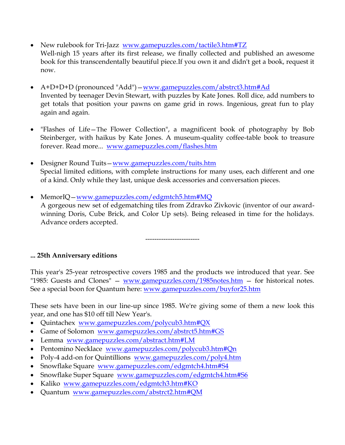- New rulebook for Tri-Jazz [www.gamepuzzles.com/tactile3.htm#TZ](http://www.gamepuzzles.com/tactile3.htm#TZ) Well-nigh 15 years after its first release, we finally collected and published an awesome book for this transcendentally beautiful piece.If you own it and didn't get a book, request it now.
- A+D+D+D (pronounced "Add")—[www.gamepuzzles.com/abstrct3.htm#Ad](http://www.gamepuzzles.com/abstrct3.htm#Ad) Invented by teenager Devin Stewart, with puzzles by Kate Jones. Roll dice, add numbers to get totals that position your pawns on game grid in rows. Ingenious, great fun to play again and again.
- "Flashes of Life—The Flower Collection", a magnificent book of photography by Bob Steinberger, with haikus by Kate Jones. A museum-quality coffee-table book to treasure forever. Read more... [www.gamepuzzles.com/flashes.htm](http://www.gamepuzzles.com/flashes.htm)
- Designer Round Tuits—[www.gamepuzzles.com/tuits.htm](http://www.gamepuzzles.com/tuits.htm) Special limited editions, with complete instructions for many uses, each different and one of a kind. Only while they last, unique desk accessories and conversation pieces.
- MemorIQ—[www.gamepuzzles.com/edgmtch5.htm#MQ](http://www.gamepuzzles.com/edgmtch5.htm#MQ) A gorgeous new set of edgematching tiles from Zdravko Zivkovic (inventor of our awardwinning Doris, Cube Brick, and Color Up sets). Being released in time for the holidays. Advance orders accepted.

------------------------

#### **... 25th Anniversary editions**

This year's 25-year retrospective covers 1985 and the products we introduced that year. See "1985: Guests and Clones"  $-$  www.gamepuzzles.com/1985 notes.htm  $-$  for historical notes. See a special boon for Quantum here: [www.gamepuzzles.com/buyfor25.htm](http://www.gamepuzzles.com/buyfor25.htm)

These sets have been in our line-up since 1985. We're giving some of them a new look this year, and one has \$10 off till New Year's.

- Quintachex [www.gamepuzzles.com/polycub3.htm#QX](http://www.gamepuzzles.com/polycub3.htm#QX)
- Game of Solomon [www.gamepuzzles.com/abstrct5.htm#GS](http://www.gamepuzzles.com/abstrct5.htm#GS)
- Lemma [www.gamepuzzles.com/abstract.htm#LM](http://www.gamepuzzles.com/abstract.htm#LM)
- Pentomino Necklace [www.gamepuzzles.com/polycub3.htm#Qn](http://www.gamepuzzles.com/polycub3.htm#Qn)
- Poly-4 add-on for Quintillions [www.gamepuzzles.com/poly4.htm](http://www.gamepuzzles.com/poly4.htm)
- Snowflake Square [www.gamepuzzles.com/edgmtch4.htm#S4](http://www.gamepuzzles.com/edgmtch4.htm#S4)
- Snowflake Super Square [www.gamepuzzles.com/edgmtch4.htm#S6](http://www.gamepuzzles.com/edgmtch4.htm#S6)
- Kaliko [www.gamepuzzles.com/edgmtch3.htm#KO](http://www.gamepuzzles.com/edgmtch3.htm#KO)
- Quantum [www.gamepuzzles.com/abstrct2.htm#QM](http://www.gamepuzzles.com/abstrct2.htm#QM)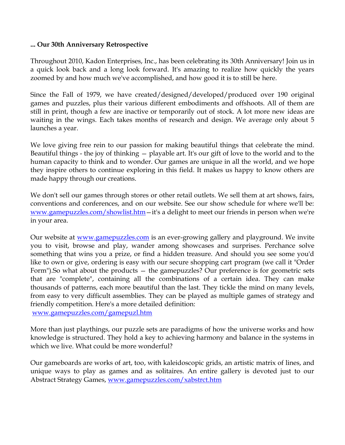#### **... Our 30th Anniversary Retrospective**

Throughout 2010, Kadon Enterprises, Inc., has been celebrating its 30th Anniversary! Join us in a quick look back and a long look forward. It's amazing to realize how quickly the years zoomed by and how much we've accomplished, and how good it is to still be here.

Since the Fall of 1979, we have created/designed/developed/produced over 190 original games and puzzles, plus their various different embodiments and offshoots. All of them are still in print, though a few are inactive or temporarily out of stock. A lot more new ideas are waiting in the wings. Each takes months of research and design. We average only about 5 launches a year.

We love giving free rein to our passion for making beautiful things that celebrate the mind. Beautiful things - the joy of thinking — playable art. It's our gift of love to the world and to the human capacity to think and to wonder. Our games are unique in all the world, and we hope they inspire others to continue exploring in this field. It makes us happy to know others are made happy through our creations.

We don't sell our games through stores or other retail outlets. We sell them at art shows, fairs, conventions and conferences, and on our website. See our show schedule for where we'll be: [www.gamepuzzles.com/showlist.htm](http://www.gamepuzzles.com/showlist.htm)—it's a delight to meet our friends in person when we're in your area.

Our website at <u>www.gamepuzzles.com</u> is an ever-growing gallery and playground. We invite you to visit, browse and play, wander among showcases and surprises. Perchance solve something that wins you a prize, or find a hidden treasure. And should you see some you'd like to own or give, ordering is easy with our secure shopping cart program (we call it "Order Form").So what about the products — the gamepuzzles? Our preference is for geometric sets that are "complete", containing all the combinations of a certain idea. They can make thousands of patterns, each more beautiful than the last. They tickle the mind on many levels, from easy to very difficult assemblies. They can be played as multiple games of strategy and friendly competition. Here's a more detailed definition: [www.gamepuzzles.com/gamepuzl.htm](http://www.gamepuzzles.com/gamepuzl.htm)

More than just playthings, our puzzle sets are paradigms of how the universe works and how

knowledge is structured. They hold a key to achieving harmony and balance in the systems in which we live. What could be more wonderful?

Our gameboards are works of art, too, with kaleidoscopic grids, an artistic matrix of lines, and unique ways to play as games and as solitaires. An entire gallery is devoted just to our Abstract Strategy Games, [www.gamepuzzles.com/xabstrct.htm](http://www.gamepuzzles.com/xabstrct.htm)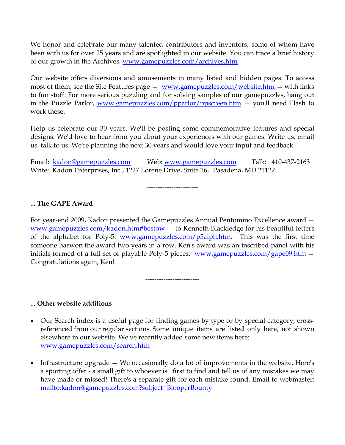We honor and celebrate our many talented contributors and inventors, some of whom have been with us for over 25 years and are spotlighted in our website. You can trace a brief history of our growth in the Archives, [www.gamepuzzles.com/archives.htm](http://www.gamepuzzles.com/archives.htm)

Our website offers diversions and amusements in many listed and hidden pages. To access most of them, see the Site Features page — [www.gamepuzzles.com/website.htm](http://www.gamepuzzles.com/website.htm) — with links to fun stuff. For more serious puzzling and for solving samples of our gamepuzzles, hang out in the Puzzle Parlor, [www.gamepuzzles.com/pparlor/ppscreen.htm](http://www.gamepuzzles.com/pparlor/ppscreen.htm) — you'll need Flash to work these.

Help us celebrate our 30 years. We'll be posting some commemorative features and special designs. We'd love to hear from you about your experiences with our games. Write us, email us, talk to us. We're planning the next 30 years and would love your input and feedback.

Email: [kadon@gamepuzzles.com](mailto:kadon@gamepuzzles.com) Web: [www.gamepuzzles.com](http://www.gamepuzzles.com/) Talk: 410-437-2163 Write: Kadon Enterprises, Inc., 1227 Lorene Drive, Suite 16, Pasadena, MD 21122

-----------------------

## **... The GAPE Award**

For year-end 2009, Kadon presented the Gamepuzzles Annual Pentomino Excellence award [www.gamepuzzles.com/kadon.htm#bestow](http://www.gamepuzzles.com/kadon.htm#bestow) — to Kenneth Blackledge for his beautiful letters of the alphabet for Poly-5: [www.gamepuzzles.com/p5alph.htm.](http://www.gamepuzzles.com/p5alph.htm) This was the first time someone haswon the award two years in a row. Ken's award was an inscribed panel with his initials formed of a full set of playable Poly-5 pieces: [www.gamepuzzles.com/gape09.htm](http://www.gamepuzzles.com/gape09.htm) – Congratulations again, Ken!

------------------------

#### **... Other website additions**

- Our Search index is a useful page for finding games by type or by special category, crossreferenced from our regular sections. Some unique items are listed only here, not shown elsewhere in our website. We've recently added some new items here: [www.gamepuzzles.com/search.htm](http://www.gamepuzzles.com/search.htm)
- Infrastructure upgrade We occasionally do a lot of improvements in the website. Here's a sporting offer - a small gift to whoever is first to find and tell us of any mistakes we may have made or missed! There's a separate gift for each mistake found. Email to webmaster: <mailto:kadon@gamepuzzles.com?subject=BlooperBounty>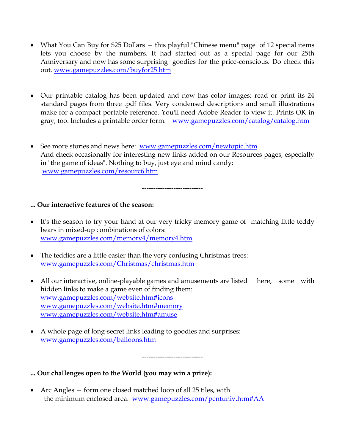- What You Can Buy for \$25 Dollars this playful "Chinese menu" page of 12 special items lets you choose by the numbers. It had started out as a special page for our 25th Anniversary and now has some surprising goodies for the price-conscious. Do check this out. [www.gamepuzzles.com/buyfor25.htm](http://www.gamepuzzles.com/buyfor25.htm)
- Our printable catalog has been updated and now has color images; read or print its 24 standard pages from three .pdf files. Very condensed descriptions and small illustrations make for a compact portable reference. You'll need Adobe Reader to view it. Prints OK in gray, too. Includes a printable order form. [www.gamepuzzles.com/catalog/catalog.htm](http://www.gamepuzzles.com/catalog/catalog.htm)
- See more stories and news here: [www.gamepuzzles.com/newtopic.htm](http://www.gamepuzzles.com/newtopic.htm) And check occasionally for interesting new links added on our Resources pages, especially in "the game of ideas". Nothing to buy, just eye and mind candy: [www.gamepuzzles.com/resourc6.htm](http://www.gamepuzzles.com/resourc6.htm)

---------------------------

#### **... Our interactive features of the season:**

- It's the season to try your hand at our very tricky memory game of matching little teddy bears in mixed-up combinations of colors: [www.gamepuzzles.com/memory4/memory4.htm](http://www.gamepuzzles.com/memory4/memory4.htm)
- The teddies are a little easier than the very confusing Christmas trees: [www.gamepuzzles.com/Christmas/christmas.htm](http://www.gamepuzzles.com/Christmas/christmas.htm)
- All our interactive, online-playable games and amusements are listed here, some with hidden links to make a game even of finding them: [www.gamepuzzles.com/website.htm#icons](http://www.gamepuzzles.com/website.htm#icons) [www.gamepuzzles.com/website.htm#memory](http://www.gamepuzzles.com/website.htm#memory) [www.gamepuzzles.com/website.htm#amuse](http://www.gamepuzzles.com/website.htm#amuse)
- A whole page of long-secret links leading to goodies and surprises: [www.gamepuzzles.com/balloons.htm](http://www.gamepuzzles.com/balloons.htm)

---------------------------

**... Our challenges open to the World (you may win a prize):**

 Arc Angles — form one closed matched loop of all 25 tiles, with the minimum enclosed area. [www.gamepuzzles.com/pentuniv.htm#AA](http://www.gamepuzzles.com/pentuniv.htm#AA)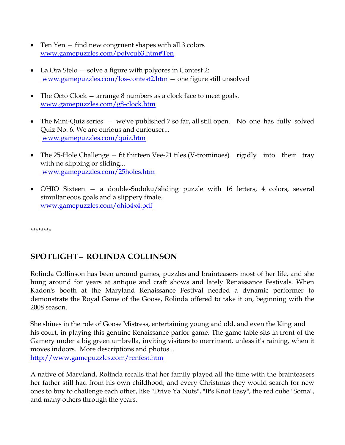- Ten Yen find new congruent shapes with all 3 colors [www.gamepuzzles.com/polycub3.htm#Ten](http://www.gamepuzzles.com/polycub3.htm#Ten)
- La Ora Stelo solve a figure with polyores in Contest 2: [www.gamepuzzles.com/los-contest2.htm](http://www.gamepuzzles.com/los-contest2.htm) — one figure still unsolved
- The Octo Clock arrange 8 numbers as a clock face to meet goals. [www.gamepuzzles.com/g8-clock.htm](http://www.gamepuzzles.com/g8-clock.htm)
- The Mini-Quiz series we've published 7 so far, all still open. No one has fully solved Quiz No. 6. We are curious and curiouser... [www.gamepuzzles.com/quiz.htm](http://www.gamepuzzles.com/quiz.htm)
- The 25-Hole Challenge fit thirteen Vee-21 tiles (V-trominoes) rigidly into their tray with no slipping or sliding... [www.gamepuzzles.com/25holes.htm](http://www.gamepuzzles.com/25holes.htm)
- OHIO Sixteen a double-Sudoku/sliding puzzle with 16 letters, 4 colors, several simultaneous goals and a slippery finale. [www.gamepuzzles.com/ohio4x4.pdf](http://www.gamepuzzles.com/ohio4x4.pdf)

\*\*\*\*\*\*\*\*

# **SPOTLIGHT**— **ROLINDA COLLINSON**

Rolinda Collinson has been around games, puzzles and brainteasers most of her life, and she hung around for years at antique and craft shows and lately Renaissance Festivals. When Kadon's booth at the Maryland Renaissance Festival needed a dynamic performer to demonstrate the Royal Game of the Goose, Rolinda offered to take it on, beginning with the 2008 season.

She shines in the role of Goose Mistress, entertaining young and old, and even the King and his court, in playing this genuine Renaissance parlor game. The game table sits in front of the Gamery under a big green umbrella, inviting visitors to merriment, unless it's raining, when it moves indoors. More descriptions and photos... <http://www.gamepuzzles.com/renfest.htm>

A native of Maryland, Rolinda recalls that her family played all the time with the brainteasers her father still had from his own childhood, and every Christmas they would search for new ones to buy to challenge each other, like "Drive Ya Nuts", "It's Knot Easy", the red cube "Soma", and many others through the years.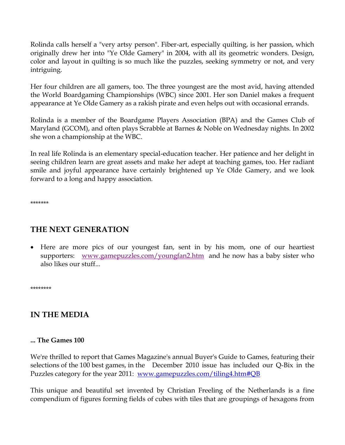Rolinda calls herself a "very artsy person". Fiber-art, especially quilting, is her passion, which originally drew her into "Ye Olde Gamery" in 2004, with all its geometric wonders. Design, color and layout in quilting is so much like the puzzles, seeking symmetry or not, and very intriguing.

Her four children are all gamers, too. The three youngest are the most avid, having attended the World Boardgaming Championships (WBC) since 2001. Her son Daniel makes a frequent appearance at Ye Olde Gamery as a rakish pirate and even helps out with occasional errands.

Rolinda is a member of the Boardgame Players Association (BPA) and the Games Club of Maryland (GCOM), and often plays Scrabble at Barnes & Noble on Wednesday nights. In 2002 she won a championship at the WBC.

In real life Rolinda is an elementary special-education teacher. Her patience and her delight in seeing children learn are great assets and make her adept at teaching games, too. Her radiant smile and joyful appearance have certainly brightened up Ye Olde Gamery, and we look forward to a long and happy association.

\*\*\*\*\*\*\*

# **THE NEXT GENERATION**

 Here are more pics of our youngest fan, sent in by his mom, one of our heartiest supporters: [www.gamepuzzles.com/youngfan2.htm](http://www.gamepuzzles.com/youngfan2.htm) and he now has a baby sister who also likes our stuff...

\*\*\*\*\*\*\*\*

# **IN THE MEDIA**

#### **... The Games 100**

We're thrilled to report that Games Magazine's annual Buyer's Guide to Games, featuring their selections of the 100 best games, in the December 2010 issue has included our Q-Bix in the Puzzles category for the year 2011: [www.gamepuzzles.com/tiling4.htm#QB](http://www.gamepuzzles.com/tiling4.htm#QB)

This unique and beautiful set invented by Christian Freeling of the Netherlands is a fine compendium of figures forming fields of cubes with tiles that are groupings of hexagons from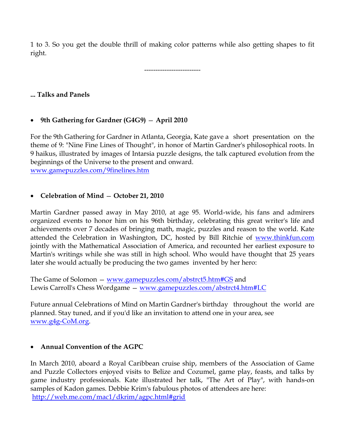1 to 3. So you get the double thrill of making color patterns while also getting shapes to fit right.

-------------------------

### **... Talks and Panels**

## **9th Gathering for Gardner (G4G9)** — **April 2010**

For the 9th Gathering for Gardner in Atlanta, Georgia, Kate gave a short presentation on the theme of 9: "Nine Fine Lines of Thought", in honor of Martin Gardner's philosophical roots. In 9 haikus, illustrated by images of Intarsia puzzle designs, the talk captured evolution from the beginnings of the Universe to the present and onward. [www.gamepuzzles.com/9finelines.htm](http://www.gamepuzzles.com/9finelines.htm)

## **Celebration of Mind** — **October 21, 2010**

Martin Gardner passed away in May 2010, at age 95. World-wide, his fans and admirers organized events to honor him on his 96th birthday, celebrating this great writer's life and achievements over 7 decades of bringing math, magic, puzzles and reason to the world. Kate attended the Celebration in Washington, DC, hosted by Bill Ritchie of [www.thinkfun.com](http://www.thinkfun.com/) jointly with the Mathematical Association of America, and recounted her earliest exposure to Martin's writings while she was still in high school. Who would have thought that 25 years later she would actually be producing the two games invented by her hero:

The Game of Solomon — [www.gamepuzzles.com/abstrct5.htm#GS](http://www.gamepuzzles.com/abstrct5.htm#GS) and Lewis Carroll's Chess Wordgame — [www.gamepuzzles.com/abstrct4.htm#LC](http://www.gamepuzzles.com/abstrct4.htm#LC)

Future annual Celebrations of Mind on Martin Gardner's birthday throughout the world are planned. Stay tuned, and if you'd like an invitation to attend one in your area, see [www.g4g-CoM.org.](http://www.g4g-com.org/)

#### **Annual Convention of the AGPC**

In March 2010, aboard a Royal Caribbean cruise ship, members of the Association of Game and Puzzle Collectors enjoyed visits to Belize and Cozumel, game play, feasts, and talks by game industry professionals. Kate illustrated her talk, "The Art of Play", with hands-on samples of Kadon games. Debbie Krim's fabulous photos of attendees are here: <http://web.me.com/mac1/dkrim/agpc.html#grid>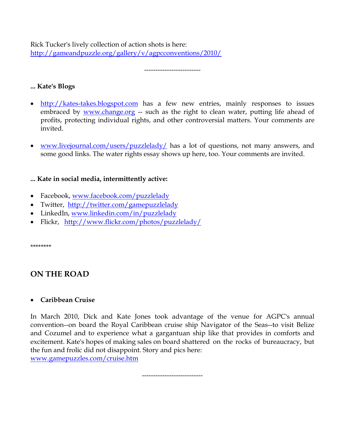Rick Tucker's lively collection of action shots is here: <http://gameandpuzzle.org/gallery/v/agpcconventions/2010/>

-------------------------

## **... Kate's Blogs**

- [http://kates-takes.blogspot.com](http://kates-takes.blogspot.com/) has a few new entries, mainly responses to issues embraced by [www.change.org](http://www.change.org/) -- such as the right to clean water, putting life ahead of profits, protecting individual rights, and other controversial matters. Your comments are invited.
- [www.livejournal.com/users/puzzlelady/](http://www.livejournal.com/users/puzzlelady/) has a lot of questions, not many answers, and some good links. The water rights essay shows up here, too. Your comments are invited.

## **... Kate in social media, intermittently active:**

- Facebook, [www.facebook.com/puzzlelady](http://www.facebook.com/puzzlelady)
- Twitter, <http://twitter.com/gamepuzzlelady>
- LinkedIn, [www.linkedin.com/in/puzzlelady](http://www.linkedin.com/in/puzzlelady)
- Flickr, <http://www.flickr.com/photos/puzzlelady/>

\*\*\*\*\*\*\*\*

# **ON THE ROAD**

## **Caribbean Cruise**

In March 2010, Dick and Kate Jones took advantage of the venue for AGPC's annual convention--on board the Royal Caribbean cruise ship Navigator of the Seas--to visit Belize and Cozumel and to experience what a gargantuan ship like that provides in comforts and excitement. Kate's hopes of making sales on board shattered on the rocks of bureaucracy, but the fun and frolic did not disappoint. Story and pics here: [www.gamepuzzles.com/cruise.htm](http://www.gamepuzzles.com/cruise.htm)

---------------------------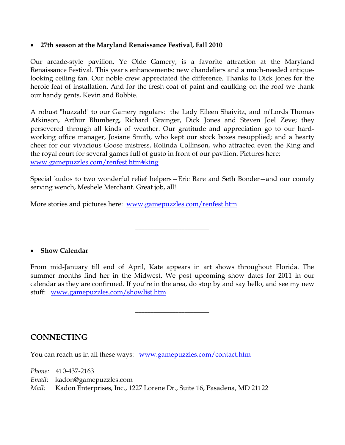#### **27th season at the Maryland Renaissance Festival, Fall 2010**

Our arcade-style pavilion, Ye Olde Gamery, is a favorite attraction at the Maryland Renaissance Festival. This year's enhancements: new chandeliers and a much-needed antiquelooking ceiling fan. Our noble crew appreciated the difference. Thanks to Dick Jones for the heroic feat of installation. And for the fresh coat of paint and caulking on the roof we thank our handy gents, Kevin and Bobbie.

A robust "huzzah!" to our Gamery regulars: the Lady Eileen Shaivitz, and m'Lords Thomas Atkinson, Arthur Blumberg, Richard Grainger, Dick Jones and Steven Joel Zeve; they persevered through all kinds of weather. Our gratitude and appreciation go to our hardworking office manager, Josiane Smith, who kept our stock boxes resupplied; and a hearty cheer for our vivacious Goose mistress, Rolinda Collinson, who attracted even the King and the royal court for several games full of gusto in front of our pavilion. Pictures here: [www.gamepuzzles.com/renfest.htm#king](http://www.gamepuzzles.com/renfest.htm#king)

Special kudos to two wonderful relief helpers—Eric Bare and Seth Bonder—and our comely serving wench, Meshele Merchant. Great job, all!

\_\_\_\_\_\_\_\_\_\_\_\_\_\_\_\_\_\_\_\_\_\_\_\_

More stories and pictures here: [www.gamepuzzles.com/renfest.htm](http://www.gamepuzzles.com/renfest.htm)

#### **Show Calendar**

From mid-January till end of April, Kate appears in art shows throughout Florida. The summer months find her in the Midwest. We post upcoming show dates for 2011 in our calendar as they are confirmed. If you're in the area, do stop by and say hello, and see my new stuff: [www.gamepuzzles.com/showlist.htm](http://www.gamepuzzles.com/showlist.htm)

\_\_\_\_\_\_\_\_\_\_\_\_\_\_\_\_\_\_\_\_\_\_\_\_

**CONNECTING**

You can reach us in all these ways: www.gamepuzzles.com/contact.htm

*Phone:* 410-437-2163 *Email:* kadon@gamepuzzles.com *Mail:* Kadon Enterprises, Inc., 1227 Lorene Dr., Suite 16, Pasadena, MD 21122